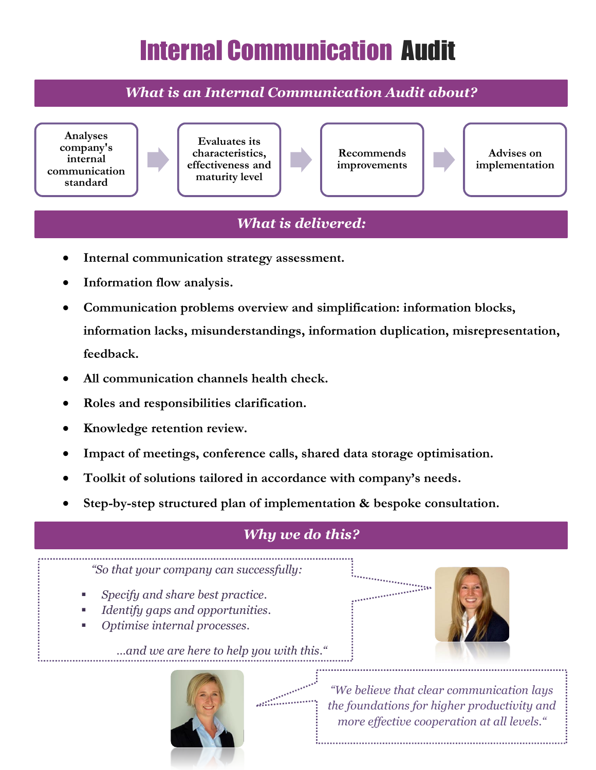## Internal Communication Audit

*What is an Internal Communication Audit about?*



## *What is delivered:*

- **Internal communication strategy assessment.**
- **Information flow analysis.**
- **Communication problems overview and simplification: information blocks, information lacks, misunderstandings, information duplication, misrepresentation, feedback.**
- **All communication channels health check.**
- **Roles and responsibilities clarification.**
- **Knowledge retention review.**
- **Impact of meetings, conference calls, shared data storage optimisation.**
- **Toolkit of solutions tailored in accordance with company's needs.**
- **Step-by-step structured plan of implementation & bespoke consultation.**

## *why we do this?*

*"So that your company can successfully:*

- *Specify and share best practice.*
- *Identify gaps and opportunities.*
- *Optimise internal processes.*

*…and we are here to help you with this."*



*"We believe that clear communication lays the foundations for higher productivity and more effective cooperation at all levels."*

**TARABASARA**